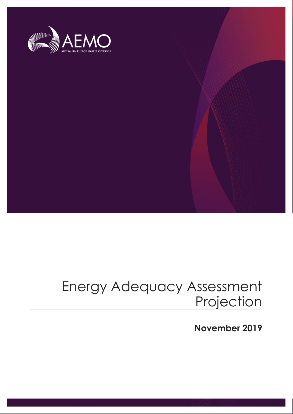

# Energy Adequacy Assessment Projection

**November 2019**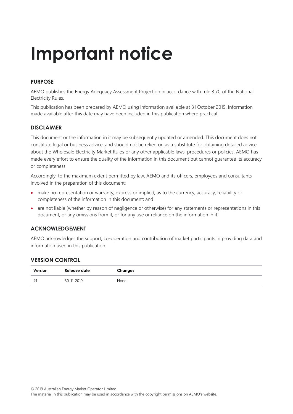# **Important notice**

#### **PURPOSE**

AEMO publishes the Energy Adequacy Assessment Projection in accordance with rule 3.7C of the National Electricity Rules.

This publication has been prepared by AEMO using information available at 31 October 2019. Information made available after this date may have been included in this publication where practical.

#### **DISCLAIMER**

This document or the information in it may be subsequently updated or amended. This document does not constitute legal or business advice, and should not be relied on as a substitute for obtaining detailed advice about the Wholesale Electricity Market Rules or any other applicable laws, procedures or policies. AEMO has made every effort to ensure the quality of the information in this document but cannot guarantee its accuracy or completeness.

Accordingly, to the maximum extent permitted by law, AEMO and its officers, employees and consultants involved in the preparation of this document:

- make no representation or warranty, express or implied, as to the currency, accuracy, reliability or completeness of the information in this document; and
- are not liable (whether by reason of negligence or otherwise) for any statements or representations in this document, or any omissions from it, or for any use or reliance on the information in it.

#### **ACKNOWLEDGEMENT**

AEMO acknowledges the support, co-operation and contribution of market participants in providing data and information used in this publication.

#### **VERSION CONTROL**

| Version        | Release date | Changes |
|----------------|--------------|---------|
| # <sup>1</sup> | 30-11-2019   | None    |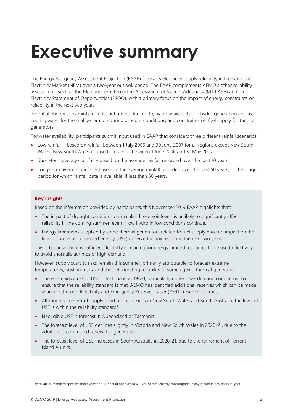# <span id="page-2-0"></span>**Executive summary**

The Energy Adequacy Assessment Projection (EAAP) forecasts electricity supply reliability in the National Electricity Market (NEM) over a two-year outlook period. The EAAP complements AEMO's other reliability assessments such as the Medium Term Projected Assessment of System Adequacy (MT PASA) and the Electricity Statement of Opportunities (ESOO), with a primary focus on the impact of energy constraints on reliability in the next two years.

Potential energy constraints include, but are not limited to, water availability, for hydro generation and as cooling water for thermal generation during drought conditions, and constraints on fuel supply for thermal generators.

For water availability, participants submit input used in EAAP that considers three different rainfall scenarios:

- Low rainfall based on rainfall between 1 July 2006 and 30 June 2007 for all regions except New South Wales. New South Wales is based on rainfall between 1 June 2006 and 31 May 2007.
- Short-term average rainfall based on the average rainfall recorded over the past 10 years.
- Long-term average rainfall based on the average rainfall recorded over the past 50 years, or the longest period for which rainfall data is available, if less than 50 years.

#### **Key insights**

Based on the information provided by participants, this November 2019 EAAP highlights that:

- The impact of drought conditions on mainland reservoir levels is unlikely to significantly affect reliability in the coming summer, even if low hydro inflow conditions continue.
- Energy limitations supplied by some thermal generators related to fuel supply have no impact on the level of projected unserved energy (USE) observed in any region in the next two years.

This is because there is sufficient flexibility remaining for energy-limited resources to be used effectively to avoid shortfalls at times of high demand.

However, supply scarcity risks remain this summer, primarily attributable to forecast extreme temperatures, bushfire risks, and the deteriorating reliability of some ageing thermal generation:

- There remains a risk of USE in Victoria in 2019-20, particularly under peak demand conditions. To ensure that the reliability standard is met, AEMO has identified additional reserves which can be made available through Reliability and Emergency Reserve Trader (RERT) reserve contracts.
- Although some risk of supply shortfalls also exists in New South Wales and South Australia, the level of USE is within the reliability standard<sup>1</sup>.
- Negligible USE is forecast in Queensland or Tasmania.
- The forecast level of USE declines slightly in Victoria and New South Wales in 2020-21, due to the addition of committed renewable generation.
- The forecast level of USE increases in South Australia in 2020-21, due to the retirement of Torrens Island A units.

<sup>1</sup> The reliability standard specifies that expected USE should not exceed 0.002% of total energy consumption in any region in any financial year.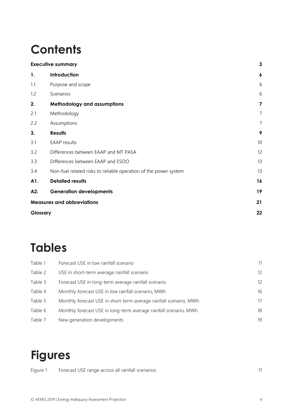# **Contents**

|          | <b>Executive summary</b>                                         | 3                |
|----------|------------------------------------------------------------------|------------------|
| 1.       | Introduction                                                     | $\boldsymbol{6}$ |
| 1.1      | Purpose and scope                                                | 6                |
| 1.2      | Scenarios                                                        | 6                |
| 2.       | <b>Methodology and assumptions</b>                               | 7                |
| 2.1      | Methodology                                                      | 7                |
| 2.2      | Assumptions                                                      | 7                |
| 3.       | <b>Results</b>                                                   | 9                |
| 3.1      | <b>EAAP</b> results                                              | 10               |
| 3.2      | Differences between EAAP and MT PASA                             | 12               |
| 3.3      | Differences between EAAP and ESOO                                | 13               |
| 3.4      | Non-fuel related risks to reliable operation of the power system | 13               |
| A1.      | <b>Detailed results</b>                                          | 16               |
| A2.      | <b>Generation developments</b>                                   | 19               |
|          | <b>Measures and abbreviations</b>                                | 21               |
| Glossary |                                                                  | 22               |
|          |                                                                  |                  |

# **Tables**

| Table 1 | Forecast USE in low rainfall scenario                             | 11                |
|---------|-------------------------------------------------------------------|-------------------|
| Table 2 | USE in short-term average rainfall scenario                       | $12 \overline{ }$ |
| Table 3 | Forecast USE in long-term average rainfall scenario               | $12 \overline{ }$ |
| Table 4 | Monthly forecast USE in low rainfall scenario, MWh                | 16                |
| Table 5 | Monthly forecast USE in short-term average rainfall scenario, MWh | 17                |
| Table 6 | Monthly forecast USE in long-term average rainfall scenario, MWh  | 18                |
| Table 7 | New generation developments                                       | 19                |

# **Figures**

| Forecast USE range across all rainfall scenarios |  |
|--------------------------------------------------|--|
|                                                  |  |
|                                                  |  |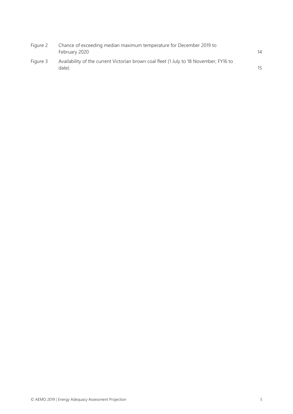| Figure 2 | Chance of exceeding median maximum temperature for December 2019 to<br>February 2020            | 14 |
|----------|-------------------------------------------------------------------------------------------------|----|
| Figure 3 | Availability of the current Victorian brown coal fleet (1 July to 18 November, FY16 to<br>date) | 15 |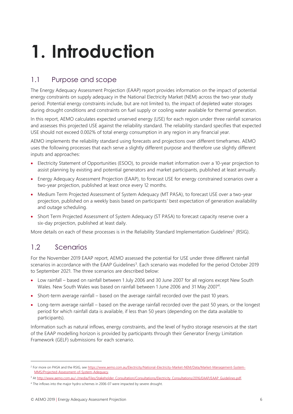# <span id="page-5-0"></span>**1. Introduction**

## <span id="page-5-1"></span>1.1 Purpose and scope

The Energy Adequacy Assessment Projection (EAAP) report provides information on the impact of potential energy constraints on supply adequacy in the National Electricity Market (NEM) across the two-year study period. Potential energy constraints include, but are not limited to, the impact of depleted water storages during drought conditions and constraints on fuel supply or cooling water available for thermal generation.

In this report, AEMO calculates expected unserved energy (USE) for each region under three rainfall scenarios and assesses this projected USE against the reliability standard. The reliability standard specifies that expected USE should not exceed 0.002% of total energy consumption in any region in any financial year.

AEMO implements the reliability standard using forecasts and projections over different timeframes. AEMO uses the following processes that each serve a slightly different purpose and therefore use slightly different inputs and approaches:

- Electricity Statement of Opportunities (ESOO), to provide market information over a 10-year projection to assist planning by existing and potential generators and market participants, published at least annually.
- Energy Adequacy Assessment Projection (EAAP), to forecast USE for energy constrained scenarios over a two-year projection, published at least once every 12 months.
- Medium Term Projected Assessment of System Adequacy (MT PASA), to forecast USE over a two-year projection, published on a weekly basis based on participants' best expectation of generation availability and outage scheduling.
- Short Term Projected Assessment of System Adequacy (ST PASA) to forecast capacity reserve over a six-day projection, published at least daily.

More details on each of these processes is in the Reliability Standard Implementation Guidelines<sup>2</sup> (RSIG).

## <span id="page-5-2"></span>1.2 Scenarios

 $\overline{a}$ 

For the November 2019 EAAP report, AEMO assessed the potential for USE under three different rainfall scenarios in accordance with the EAAP Guidelines<sup>3</sup>. Each scenario was modelled for the period October 2019 to September 2021. The three scenarios are described below:

- Low rainfall based on rainfall between 1 July 2006 and 30 June 2007 for all regions except New South Wales. New South Wales was based on rainfall between 1 June 2006 and 31 May 2007<sup>4</sup>.
- Short-term average rainfall based on the average rainfall recorded over the past 10 years.
- Long-term average rainfall based on the average rainfall recorded over the past 50 years, or the longest period for which rainfall data is available, if less than 50 years (depending on the data available to participants).

Information such as natural inflows, energy constraints, and the level of hydro storage reservoirs at the start of the EAAP modelling horizon is provided by participants through their Generator Energy Limitation Framework (GELF) submissions for each scenario.

<sup>&</sup>lt;sup>2</sup> For more on PASA and the RSIG, se[e https://www.aemo.com.au/Electricity/National-Electricity-Market-NEM/Data/Market-Management-System-](https://www.aemo.com.au/Electricity/National-Electricity-Market-NEM/Data/Market-Management-System-MMS/Projected-Assessment-of-System-Adequacy)[MMS/Projected-Assessment-of-System-Adequacy.](https://www.aemo.com.au/Electricity/National-Electricity-Market-NEM/Data/Market-Management-System-MMS/Projected-Assessment-of-System-Adequacy)

<sup>3</sup> A[t http://www.aemo.com.au/-/media/Files/Stakeholder\\_Consultation/Consultations/Electricity\\_Consultations/2016/EAAP/EAAP\\_Guidelines.pdf.](http://www.aemo.com.au/-/media/Files/Stakeholder_Consultation/Consultations/Electricity_Consultations/2016/EAAP/EAAP_Guidelines.pdf)

<sup>4</sup> The inflows into the major hydro schemes in 2006-07 were impacted by severe drought.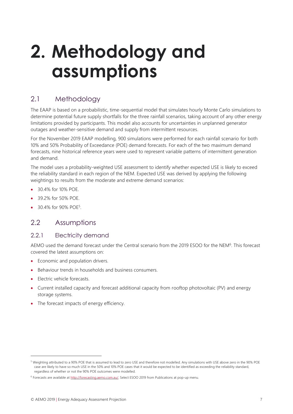# <span id="page-6-0"></span>**2. Methodology and assumptions**

## <span id="page-6-1"></span>2.1 Methodology

The EAAP is based on a probabilistic, time-sequential model that simulates hourly Monte Carlo simulations to determine potential future supply shortfalls for the three rainfall scenarios, taking account of any other energy limitations provided by participants. This model also accounts for uncertainties in unplanned generator outages and weather-sensitive demand and supply from intermittent resources.

For the November 2019 EAAP modelling, 900 simulations were performed for each rainfall scenario for both 10% and 50% Probability of Exceedance (POE) demand forecasts. For each of the two maximum demand forecasts, nine historical reference years were used to represent variable patterns of intermittent generation and demand.

The model uses a probability-weighted USE assessment to identify whether expected USE is likely to exceed the reliability standard in each region of the NEM. Expected USE was derived by applying the following weightings to results from the moderate and extreme demand scenarios:

- 30.4% for 10% POE.
- 39.2% for 50% POE.
- 30.4% for 90% POE<sup>5</sup>.

### <span id="page-6-2"></span>2.2 Assumptions

#### 2.2.1 Electricity demand

AEMO used the demand forecast under the Central scenario from the 2019 ESOO for the NEM<sup>6</sup>. This forecast covered the latest assumptions on:

- Economic and population drivers.
- Behaviour trends in households and business consumers.
- Electric vehicle forecasts.

- Current installed capacity and forecast additional capacity from rooftop photovoltaic (PV) and energy storage systems.
- The forecast impacts of energy efficiency.

<sup>5</sup> Weighting attributed to a 90% POE that is assumed to lead to zero USE and therefore not modelled. Any simulations with USE above zero in the 90% POE case are likely to have so much USE in the 50% and 10% POE cases that it would be expected to be identified as exceeding the reliability standard, regardless of whether or not the 90% POE outcomes were modelled.

<sup>&</sup>lt;sup>6</sup> Forecasts are available a[t http://forecasting.aemo.com.au/.](http://forecasting.aemo.com.au/) Select ESOO 2019 from Publications at pop-up menu.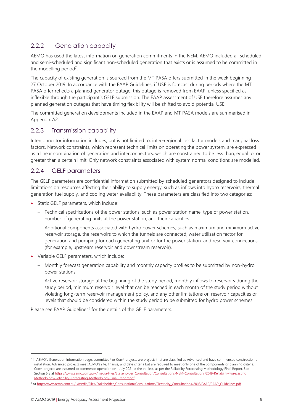### 2.2.2 Generation capacity

AEMO has used the latest information on generation commitments in the NEM. AEMO included all scheduled and semi-scheduled and significant non-scheduled generation that exists or is assumed to be committed in the modelling period<sup>7</sup>.

The capacity of existing generation is sourced from the MT PASA offers submitted in the week beginning 27 October 2019. In accordance with the EAAP Guidelines, if USE is forecast during periods where the MT PASA offer reflects a planned generator outage, this outage is removed from EAAP, unless specified as inflexible through the participant's GELF submission. The EAAP assessment of USE therefore assumes any planned generation outages that have timing flexibility will be shifted to avoid potential USE.

The committed generation developments included in the EAAP and MT PASA models are summarised in Appendix A2.

### 2.2.3 Transmission capability

Interconnector information includes, but is not limited to, inter-regional loss factor models and marginal loss factors. Network constraints, which represent technical limits on operating the power system, are expressed as a linear combination of generation and interconnectors, which are constrained to be less than, equal to, or greater than a certain limit. Only network constraints associated with system normal conditions are modelled.

### 2.2.4 GELF parameters

The GELF parameters are confidential information submitted by scheduled generators designed to include limitations on resources affecting their ability to supply energy, such as inflows into hydro reservoirs, thermal generation fuel supply, and cooling water availability. These parameters are classified into two categories:

- Static GELF parameters, which include:
	- Technical specifications of the power stations, such as power station name, type of power station, number of generating units at the power station, and their capacities.
	- Additional components associated with hydro power schemes, such as maximum and minimum active reservoir storage, the reservoirs to which the tunnels are connected, water utilisation factor for generation and pumping for each generating unit or for the power station, and reservoir connections (for example, upstream reservoir and downstream reservoir).
- Variable GELF parameters, which include:
	- Monthly forecast generation capability and monthly capacity profiles to be submitted by non-hydro power stations.
	- Active reservoir storage at the beginning of the study period, monthly inflows to reservoirs during the study period, minimum reservoir level that can be reached in each month of the study period without violating long-term reservoir management policy, and any other limitations on reservoir capacities or levels that should be considered within the study period to be submitted for hydro power schemes.

Please see EAAP Guidelines<sup>8</sup> for the details of the GELF parameters.

<sup>&</sup>lt;sup>7</sup> In AEMO's Generation Information page, committed\* or Com\* projects are projects that are classified as Advanced and have commenced construction or installation. Advanced projects meet AEMO's site, finance, and date criteria but are required to meet only one of the components or planning criteria. Com\* projects are assumed to commence operation on 1 July 2021 at the earliest, as per the Reliability Forecasting Methodology Final Report. See Section 5.3 at [https://www.aemo.com.au/-/media/Files/Stakeholder\\_Consultation/Consultations/NEM-Consultations/2019/Reliability-Forecasting](https://www.aemo.com.au/-/media/Files/Stakeholder_Consultation/Consultations/NEM-Consultations/2019/Reliability-ForecastingMethodology/Reliability-Forecasting-Methodology-Final-Report.pdf) [Methodology/Reliability-Forecasting-Methodology-Final-Report.pdf.](https://www.aemo.com.au/-/media/Files/Stakeholder_Consultation/Consultations/NEM-Consultations/2019/Reliability-ForecastingMethodology/Reliability-Forecasting-Methodology-Final-Report.pdf)

<sup>8</sup> A[t http://www.aemo.com.au/-/media/Files/Stakeholder\\_Consultation/Consultations/Electricity\\_Consultations/2016/EAAP/EAAP\\_Guidelines.pdf.](http://www.aemo.com.au/-/media/Files/Stakeholder_Consultation/Consultations/Electricity_Consultations/2016/EAAP/EAAP_Guidelines.pdf)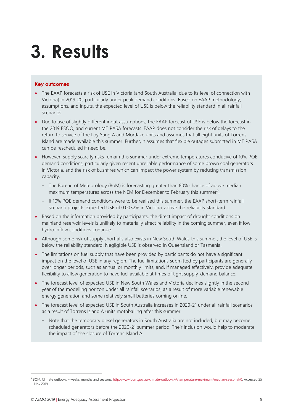# <span id="page-8-0"></span>**3. Results**

#### **Key outcomes**

- The EAAP forecasts a risk of USE in Victoria (and South Australia, due to its level of connection with Victoria) in 2019-20, particularly under peak demand conditions. Based on EAAP methodology, assumptions, and inputs, the expected level of USE is below the reliability standard in all rainfall scenarios.
- Due to use of slightly different input assumptions, the EAAP forecast of USE is below the forecast in the 2019 ESOO, and current MT PASA forecasts. EAAP does not consider the risk of delays to the return to service of the Loy Yang A and Mortlake units and assumes that all eight units of Torrens Island are made available this summer. Further, it assumes that flexible outages submitted in MT PASA can be rescheduled if need be.
- However, supply scarcity risks remain this summer under extreme temperatures conducive of 10% POE demand conditions, particularly given recent unreliable performance of some brown coal generators in Victoria, and the risk of bushfires which can impact the power system by reducing transmission capacity.
	- The Bureau of Meteorology (BoM) is forecasting greater than 80% chance of above median maximum temperatures across the NEM for December to February this summer<sup>9</sup>.
	- If 10% POE demand conditions were to be realised this summer, the EAAP short-term rainfall scenario projects expected USE of 0.0032% in Victoria, above the reliability standard.
- Based on the information provided by participants, the direct impact of drought conditions on mainland reservoir levels is unlikely to materially affect reliability in the coming summer, even if low hydro inflow conditions continue.
- Although some risk of supply shortfalls also exists in New South Wales this summer, the level of USE is below the reliability standard. Negligible USE is observed in Queensland or Tasmania.
- The limitations on fuel supply that have been provided by participants do not have a significant impact on the level of USE in any region. The fuel limitations submitted by participants are generally over longer periods, such as annual or monthly limits, and, if managed effectively, provide adequate flexibility to allow generation to have fuel available at times of tight supply-demand balance.
- The forecast level of expected USE in New South Wales and Victoria declines slightly in the second year of the modelling horizon under all rainfall scenarios, as a result of more variable renewable energy generation and some relatively small batteries coming online.
- The forecast level of expected USE in South Australia increases in 2020-21 under all rainfall scenarios as a result of Torrens Island A units mothballing after this summer.
	- Note that the temporary diesel generators in South Australia are not included, but may become scheduled generators before the 2020-21 summer period. Their inclusion would help to moderate the impact of the closure of Torrens Island A.

<sup>9</sup> BOM. Climate outlooks – weeks, months and seasons[. http://www.bom.gov.au/climate/outlooks/#/temperature/maximum/median/seasonal/0.](http://www.bom.gov.au/climate/outlooks/#/temperature/maximum/median/seasonal/0) Accessed 25 Nov 2019.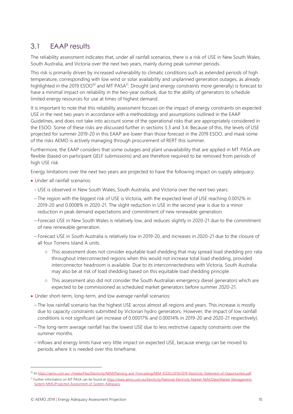## <span id="page-9-0"></span>3.1 EAAP results

The reliability assessment indicates that, under all rainfall scenarios, there is a risk of USE in New South Wales, South Australia, and Victoria over the next two years, mainly during peak summer periods.

This risk is primarily driven by increased vulnerability to climatic conditions such as extended periods of high temperature, corresponding with low wind or solar availability and unplanned generation outages, as already highlighted in the 2019 ESOO<sup>10</sup> and MT PASA<sup>11</sup>. Drought (and energy constraints more generally) is forecast to have a minimal impact on reliability in the two-year outlook, due to the ability of generators to schedule limited energy resources for use at times of highest demand.

It is important to note that this reliability assessment focuses on the impact of energy constraints on expected USE in the next two years in accordance with a methodology and assumptions outlined in the EAAP Guidelines, and does not take into account some of the operational risks that are appropriately considered in the ESOO. Some of these risks are discussed further in sections [3.3](#page-12-0) an[d 3.4.](#page-12-1) Because of this, the levels of USE projected for summer 2019-20 in this EAAP are lower than those forecast in the 2019 ESOO, and mask some of the risks AEMO is actively managing through procurement of RERT this summer.

Furthermore, the EAAP considers that some outages and plant unavailability that are applied in MT PASA are flexible (based on participant GELF submissions) and are therefore required to be removed from periods of high USE risk.

Energy limitations over the next two years are projected to have the following impact on supply adequacy:

- Under all rainfall scenarios:
	- USE is observed in New South Wales, South Australia, and Victoria over the next two years.
	- The region with the biggest risk of USE is Victoria, with the expected level of USE reaching 0.0012% in 2019-20 and 0.0008% in 2020-21. The slight reduction in USE in the second year is due to a minor reduction in peak demand expectations and commitment of new renewable generation.
	- Forecast USE in New South Wales is relatively low, and reduces slightly in 2020-21 due to the commitment of new renewable generation.
	- Forecast USE in South Australia is relatively low in 2019-20, and increases in 2020-21 due to the closure of all four Torrens Island A units.
		- This assessment does not consider equitable load shedding that may spread load shedding pro rata throughout interconnected regions when this would not increase total load shedding, provided interconnector headroom is available. Due to its interconnectedness with Victoria, South Australia may also be at risk of load shedding based on this equitable load shedding principle.
		- This assessment also did not consider the South Australian emergency diesel generators which are expected to be commissioned as scheduled market generators before summer 2020-21.
- Under short-term, long-term, and low average rainfall scenarios:
	- The low rainfall scenario has the highest USE across almost all regions and years. This increase is mostly due to capacity constraints submitted by Victorian hydro generators. However, the impact of low rainfall conditions is not significant (an increase of 0.00017% and 0.00014% in 2019-20 and 2020-21 respectively).
	- The long-term average rainfall has the lowest USE due to less restrictive capacity constraints over the summer months.
	- Inflows and energy limits have very little impact on expected USE, because energy can be moved to periods where it is needed over this timeframe.

<sup>10</sup> A[t https://aemo.com.au/-/media/Files/Electricity/NEM/Planning\\_and\\_Forecasting/NEM\\_ESOO/2019/2019-Electricity-Statement-of-Opportunities.pdf.](https://aemo.com.au/-/media/Files/Electricity/NEM/Planning_and_Forecasting/NEM_ESOO/2019/2019-Electricity-Statement-of-Opportunities.pdf) 11 Further information on MT PASA can be found a[t https://www.aemo.com.au/Electricity/National-Electricity-Market-NEM/Data/Market-Management-](https://www.aemo.com.au/Electricity/National-Electricity-Market-NEM/Data/Market-Management-System-MMS/Projected-Assessment-of-System-Adequacy)[System-MMS/Projected-Assessment-of-System-Adequacy.](https://www.aemo.com.au/Electricity/National-Electricity-Market-NEM/Data/Market-Management-System-MMS/Projected-Assessment-of-System-Adequacy)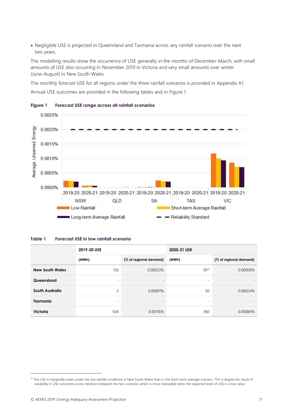• Negligible USE is projected in Queensland and Tasmania across any rainfall scenario over the next two years.

The modelling results show the occurrence of USE generally in the months of December-March, with small amounts of USE also occurring in November 2019 in Victoria and very small amounts over winter (June-August) in New South Wales.

The monthly forecast USE for all regions under the three rainfall scenarios is provided in Appendix A1.

Annual USE outcomes are provided in the following tables and in [Figure 1.](#page-10-1)



#### <span id="page-10-1"></span>**Figure 1 Forecast USE range across all rainfall scenarios**

#### <span id="page-10-0"></span>**Table 1 Forecast USE in low rainfall scenario**

|                        | 2019-20 USE |                          | 2020-21 USE              |                        |  |
|------------------------|-------------|--------------------------|--------------------------|------------------------|--|
|                        | (MWh)       | (% of regional demand)   | (MWh)                    | (% of regional demand) |  |
| <b>New South Wales</b> | 156         | 0.00023%                 | 39 <sup>12</sup>         | 0.00006%               |  |
| Queensland             | ۰           | $\overline{\phantom{a}}$ | $\overline{\phantom{a}}$ | $\qquad \qquad =$      |  |
| South Australia        | 2           | 0.00001%                 | 30                       | 0.00024%               |  |
| <b>Tasmania</b>        | ٠           | $\qquad \qquad =$        | $\overline{\phantom{0}}$ | $\qquad \qquad =$      |  |
| Victoria               | 504         | 0.00116%                 | 360                      | 0.00084%               |  |

<sup>&</sup>lt;sup>12</sup> The USE is marginally lower under the low rainfall conditions in New South Wales than in the short-term average scenario. This is largely the result of variability in USE outcomes across iterations between the two scenarios which is more noticeable when the expected level of USE is a low value.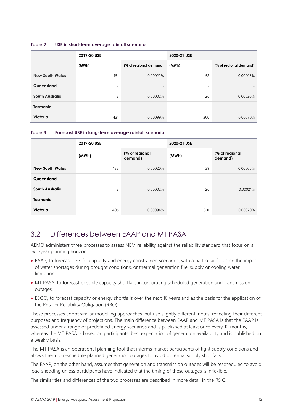#### <span id="page-11-1"></span>**Table 2 USE in short-term average rainfall scenario**

|                        | 2019-20 USE              |                          | 2020-21 USE              |                          |  |
|------------------------|--------------------------|--------------------------|--------------------------|--------------------------|--|
|                        | (MWh)                    | (% of regional demand)   | (MWh)                    | (% of regional demand)   |  |
| <b>New South Wales</b> | 151                      | 0.00022%                 | 52                       | 0.00008%                 |  |
| Queensland             | $\overline{\phantom{a}}$ | $\overline{\phantom{a}}$ | ۰                        | $\overline{\phantom{0}}$ |  |
| South Australia        | 2                        | 0.00002%                 | 26                       | 0.00020%                 |  |
| <b>Tasmania</b>        | $\overline{\phantom{a}}$ | $\overline{\phantom{a}}$ | $\overline{\phantom{a}}$ | $\qquad \qquad =$        |  |
| <b>Victoria</b>        | 431                      | 0.00099%                 | 300                      | 0.00070%                 |  |

<span id="page-11-2"></span>

| Table 3 | Forecast USE in long-term average rainfall scenario |  |  |
|---------|-----------------------------------------------------|--|--|
|---------|-----------------------------------------------------|--|--|

|                        | 2019-20 USE              |                           | 2020-21 USE              |                           |  |
|------------------------|--------------------------|---------------------------|--------------------------|---------------------------|--|
|                        | (MWh)                    | (% of regional<br>demand) | (MWh)                    | (% of regional<br>demand) |  |
| <b>New South Wales</b> | 138                      | 0.00020%                  | 39                       | 0.00006%                  |  |
| Queensland             | ٠                        | $\overline{\phantom{a}}$  | $\overline{\phantom{a}}$ |                           |  |
| South Australia        | $\overline{c}$           | 0.00002%                  | 26                       | 0.00021%                  |  |
| <b>Tasmania</b>        | $\overline{\phantom{a}}$ | $\overline{\phantom{0}}$  | $\overline{\phantom{a}}$ | $\overline{\phantom{a}}$  |  |
| Victoria               | 406                      | 0.00094%                  | 301                      | 0.00070%                  |  |

### <span id="page-11-0"></span>3.2 Differences between EAAP and MT PASA

AEMO administers three processes to assess NEM reliability against the reliability standard that focus on a two-year planning horizon:

- EAAP, to forecast USE for capacity and energy constrained scenarios, with a particular focus on the impact of water shortages during drought conditions, or thermal generation fuel supply or cooling water limitations.
- MT PASA, to forecast possible capacity shortfalls incorporating scheduled generation and transmission outages.
- ESOO, to forecast capacity or energy shortfalls over the next 10 years and as the basis for the application of the Retailer Reliability Obligation (RRO).

These processes adopt similar modelling approaches, but use slightly different inputs, reflecting their different purposes and frequency of projections. The main difference between EAAP and MT PASA is that the EAAP is assessed under a range of predefined energy scenarios and is published at least once every 12 months, whereas the MT PASA is based on participants' best expectation of generation availability and is published on a weekly basis.

The MT PASA is an operational planning tool that informs market participants of tight supply conditions and allows them to reschedule planned generation outages to avoid potential supply shortfalls.

The EAAP, on the other hand, assumes that generation and transmission outages will be rescheduled to avoid load shedding unless participants have indicated that the timing of these outages is inflexible.

The similarities and differences of the two processes are described in more detail in the RSIG.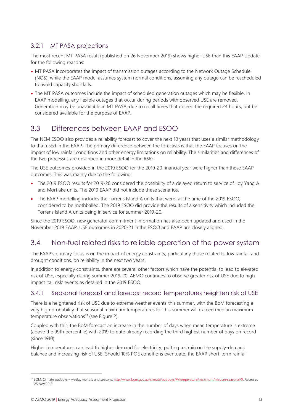### 3.2.1 MT PASA projections

The most recent MT PASA result (published on 26 November 2019) shows higher USE than this EAAP Update for the following reasons:

- MT PASA incorporates the impact of transmission outages according to the Network Outage Schedule (NOS), while the EAAP model assumes system normal conditions, assuming any outage can be rescheduled to avoid capacity shortfalls.
- The MT PASA outcomes include the impact of scheduled generation outages which may be flexible. In EAAP modelling, any flexible outages that occur during periods with observed USE are removed. Generation may be unavailable in MT PASA, due to recall times that exceed the required 24 hours, but be considered available for the purpose of EAAP.

## <span id="page-12-0"></span>3.3 Differences between EAAP and ESOO

The NEM ESOO also provides a reliability forecast to cover the next 10 years that uses a similar methodology to that used in the EAAP. The primary difference between the forecasts is that the EAAP focuses on the impact of low rainfall conditions and other energy limitations on reliability. The similarities and differences of the two processes are described in more detail in the RSIG.

The USE outcomes provided in the 2019 ESOO for the 2019-20 financial year were higher than these EAAP outcomes. This was mainly due to the following:

- The 2019 ESOO results for 2019-20 considered the possibility of a delayed return to service of Loy Yang A and Mortlake units. The 2019 EAAP did not include these scenarios.
- The EAAP modelling includes the Torrens Island A units that were, at the time of the 2019 ESOO, considered to be mothballed. The 2019 ESOO did provide the results of a sensitivity which included the Torrens Island A units being in service for summer 2019-20.

Since the 2019 ESOO, new generator commitment information has also been updated and used in the November 2019 EAAP. USE outcomes in 2020-21 in the ESOO and EAAP are closely aligned.

## <span id="page-12-1"></span>3.4 Non-fuel related risks to reliable operation of the power system

The EAAP's primary focus is on the impact of energy constraints, particularly those related to low rainfall and drought conditions, on reliability in the next two years.

In addition to energy constraints, there are several other factors which have the potential to lead to elevated risk of USE, especially during summer 2019-20. AEMO continues to observe greater risk of USE due to high impact 'tail risk' events as detailed in the 2019 ESOO.

### 3.4.1 Seasonal forecast and forecast record temperatures heighten risk of USE

There is a heightened risk of USE due to extreme weather events this summer, with the BoM forecasting a very high probability that seasonal maximum temperatures for this summer will exceed median maximum temperature observations<sup>13</sup> (see Figure 2).

Coupled with this, the BoM forecast an increase in the number of days when mean temperature is extreme (above the 99th percentile) with 2019 to date already recording the third highest number of days on record (since 1910).

Higher temperatures can lead to higher demand for electricity, putting a strain on the supply-demand balance and increasing risk of USE. Should 10% POE conditions eventuate, the EAAP short-term rainfall

<sup>&</sup>lt;sup>13</sup> BOM. Climate outlooks – weeks, months and seasons[. http://www.bom.gov.au/climate/outlooks/#/temperature/maximum/median/seasonal/0.](http://www.bom.gov.au/climate/outlooks/#/temperature/maximum/median/seasonal/0) Accessed 25 Nov 2019.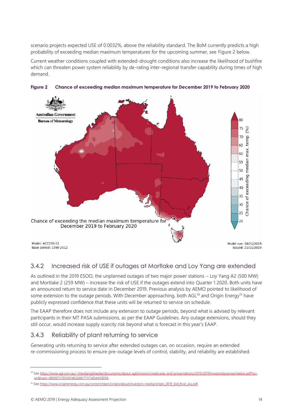scenario projects expected USE of 0.0032%, above the reliability standard. The BoM currently predicts a high probability of exceeding median maximum temperatures for the upcoming summer, see [Figure 2](#page-13-0) below.

Current weather conditions coupled with extended-drought conditions also increase the likelihood of bushfire which can threaten power system reliability by de-rating inter-regional transfer capability during times of high demand.



<span id="page-13-0"></span>**Figure 2 Chance of exceeding median maximum temperature for December 2019 to February 2020**

#### 3.4.2 Increased risk of USE if outages at Mortlake and Loy Yang are extended

As outlined in the 2019 ESOO, the unplanned outages of two major power stations – Loy Yang A2 (500 MW) and Mortlake 2 (259 MW) – increase the risk of USE if the outages extend into Quarter 1 2020. Both units have an announced return to service date in December 2019. Previous analysis by AEMO pointed to likelihood of some extension to the outage periods. With December approaching, both AGL<sup>14</sup> and Origin Energy<sup>15</sup> have publicly expressed confidence that these units will be returned to service on schedule.

The EAAP therefore does not include any extension to outage periods, beyond what is advised by relevant participants in their MT PASA submissions, as per the EAAP Guidelines. Any outage extensions, should they still occur, would increase supply scarcity risk beyond what is forecast in this year's EAAP.

### 3.4.3 Reliability of plant returning to service

Generating units returning to service after extended outages can, on occasion, require an extended re-commissioning process to ensure pre-outage levels of control, stability, and reliability are established.

<sup>14</sup> Se[e https://www.agl.com.au/-/media/aglmedia/documents/about-agl/investors/webcasts-and-presentations/2019/2019investordaypresentation.pdf?la=](https://www.agl.com.au/-/media/aglmedia/documents/about-agl/investors/webcasts-and-presentations/2019/2019investordaypresentation.pdf?la=en&hash=B9D0757D530146268A77117AD4459050) [en&hash=B9D0757D530146268A77117AD4459050.](https://www.agl.com.au/-/media/aglmedia/documents/about-agl/investors/webcasts-and-presentations/2019/2019investordaypresentation.pdf?la=en&hash=B9D0757D530146268A77117AD4459050)

<sup>15</sup> Se[e https://www.originenergy.com.au/content/dam/origin/about/investors-media/origin\\_2019\\_ibd\\_final\\_asx.pdf.](https://www.originenergy.com.au/content/dam/origin/about/investors-media/origin_2019_ibd_final_asx.pdf)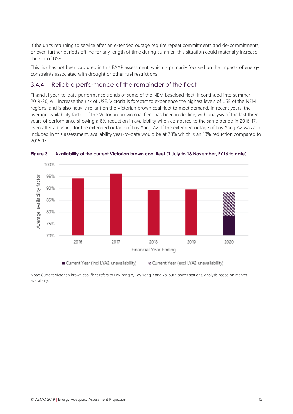If the units returning to service after an extended outage require repeat commitments and de-commitments, or even further periods offline for any length of time during summer, this situation could materially increase the risk of USE.

This risk has not been captured in this EAAP assessment, which is primarily focused on the impacts of energy constraints associated with drought or other fuel restrictions.

#### 3.4.4 Reliable performance of the remainder of the fleet

Financial year-to-date performance trends of some of the NEM baseload fleet, if continued into summer 2019-20, will increase the risk of USE. Victoria is forecast to experience the highest levels of USE of the NEM regions, and is also heavily reliant on the Victorian brown coal fleet to meet demand. In recent years, the average availability factor of the Victorian brown coal fleet has been in decline, with analysis of the last three years of performance showing a 8% reduction in availability when compared to the same period in 2016-17, even after adjusting for the extended outage of Loy Yang A2. If the extended outage of Loy Yang A2 was also included in this assessment, availability year-to-date would be at 78% which is an 18% reduction compared to 2016-17.



<span id="page-14-0"></span>**Figure 3 Availability of the current Victorian brown coal fleet (1 July to 18 November, FY16 to date)**

Current Year (incl LYA2 unavailability)

& Current Year (excl LYA2 unavailability)

Note: Current Victorian brown coal fleet refers to Loy Yang A, Loy Yang B and Yallourn power stations. Analysis based on market availability.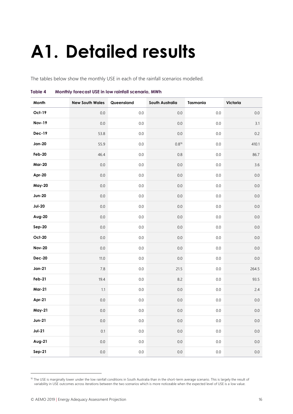# <span id="page-15-0"></span>**A1. Detailed results**

The tables below show the monthly USE in each of the rainfall scenarios modelled.

| Month         | <b>New South Wales</b> | Queensland | South Australia | <b>Tasmania</b> | Victoria |
|---------------|------------------------|------------|-----------------|-----------------|----------|
| Oct-19        | $0.0\,$                | $0.0\,$    | $0.0\,$         | $0.0\,$         | $0.0\,$  |
| <b>Nov-19</b> | $0.0\,$                | $0.0\,$    | $0.0\,$         | 0.0             | 3.1      |
| <b>Dec-19</b> | 53.8                   | $0.0\,$    | $0.0\,$         | $0.0\,$         | 0.2      |
| <b>Jan-20</b> | 55.9                   | $0.0\,$    | $0.8^{16}$      | $0.0\,$         | 410.1    |
| Feb-20        | 46.4                   | $0.0\,$    | $0.8\,$         | $0.0\,$         | 86.7     |
| <b>Mar-20</b> | $0.0\,$                | $0.0\,$    | $0.0\,$         | $0.0\,$         | 3.6      |
| Apr-20        | $0.0\,$                | $0.0\,$    | $0.0\,$         | $0.0\,$         | $0.0\,$  |
| <b>May-20</b> | $0.0\,$                | $0.0\,$    | $0.0\,$         | $0.0\,$         | $0.0\,$  |
| <b>Jun-20</b> | $0.0\,$                | $0.0\,$    | $0.0\,$         | $0.0\,$         | $0.0\,$  |
| $Jul-20$      | $0.0\,$                | $0.0\,$    | $0.0\,$         | $0.0\,$         | $0.0\,$  |
| Aug-20        | $0.0\,$                | $0.0\,$    | $0.0\,$         | $0.0\,$         | $0.0\,$  |
| Sep-20        | $0.0\,$                | $0.0\,$    | $0.0\,$         | $0.0\,$         | $0.0\,$  |
| <b>Oct-20</b> | $0.0\,$                | $0.0\,$    | $0.0\,$         | $0.0\,$         | $0.0\,$  |
| <b>Nov-20</b> | $0.0\,$                | $0.0\,$    | $0.0\,$         | $0.0\,$         | $0.0\,$  |
| <b>Dec-20</b> | $11.0$                 | $0.0\,$    | $0.0\,$         | $0.0\,$         | $0.0\,$  |
| <b>Jan-21</b> | $7.8\,$                | $0.0\,$    | 21.5            | $0.0\,$         | 264.5    |
| Feb-21        | 19.4                   | $0.0\,$    | 8.2             | $0.0\,$         | 93.5     |
| <b>Mar-21</b> | $1.1\,$                | $0.0\,$    | $0.0\,$         | $0.0\,$         | 2.4      |
| Apr-21        | $0.0\,$                | $0.0\,$    | $0.0\,$         | $0.0\,$         | $0.0\,$  |
| <b>May-21</b> | $0.0\,$                | $0.0\,$    | $0.0\,$         | 0.0             | $0.0\,$  |
| <b>Jun-21</b> | $0.0\,$                | $0.0\,$    | $0.0\,$         | 0.0             | $0.0\,$  |
| $Jul-21$      | 0.1                    | $0.0\,$    | $0.0\,$         | $0.0\,$         | $0.0\,$  |
| Aug-21        | $0.0\,$                | $0.0\,$    | $0.0\,$         | $0.0\,$         | $0.0\,$  |
| $Sep-21$      | $0.0\,$                | $0.0\,$    | $0.0\,$         | $0.0\,$         | $0.0\,$  |

#### <span id="page-15-1"></span>**Table 4 Monthly forecast USE in low rainfall scenario, MWh**

<sup>&</sup>lt;sup>16</sup> The USE is marginally lower under the low rainfall conditions in South Australia than in the short-term average scenario. This is largely the result of variability in USE outcomes across iterations between the two scenarios which is more noticeable when the expected level of USE is a low value.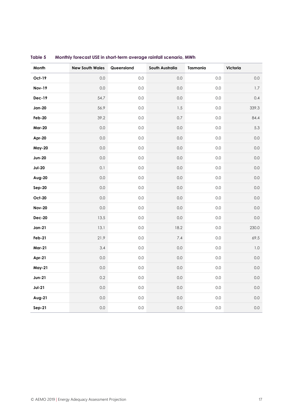| Month         | <b>New South Wales</b> | Queensland | South Australia | <b>Tasmania</b> | Victoria |
|---------------|------------------------|------------|-----------------|-----------------|----------|
| Oct-19        | 0.0                    | 0.0        | $0.0\,$         | 0.0             | $0.0\,$  |
| <b>Nov-19</b> | $0.0\,$                | 0.0        | $0.0\,$         | $0.0\,$         | $1.7\,$  |
| <b>Dec-19</b> | 54.7                   | 0.0        | $0.0\,$         | $0.0\,$         | 0.4      |
| <b>Jan-20</b> | 56.9                   | 0.0        | $1.5\,$         | $0.0\,$         | 339.3    |
| Feb-20        | 39.2                   | 0.0        | $0.7\,$         | $0.0\,$         | 84.4     |
| <b>Mar-20</b> | $0.0\,$                | 0.0        | $0.0\,$         | $0.0\,$         | 5.3      |
| Apr-20        | $0.0\,$                | 0.0        | $0.0\,$         | $0.0\,$         | $0.0\,$  |
| <b>May-20</b> | $0.0\,$                | 0.0        | $0.0\,$         | $0.0\,$         | $0.0\,$  |
| <b>Jun-20</b> | $0.0\,$                | 0.0        | $0.0\,$         | 0.0             | $0.0\,$  |
| $Jul-20$      | 0.1                    | 0.0        | $0.0\,$         | $0.0\,$         | $0.0\,$  |
| Aug-20        | 0.0                    | 0.0        | $0.0\,$         | $0.0\,$         | $0.0\,$  |
| Sep-20        | $0.0\,$                | 0.0        | $0.0\,$         | $0.0\,$         | $0.0\,$  |
| <b>Oct-20</b> | $0.0\,$                | 0.0        | $0.0\,$         | $0.0\,$         | $0.0\,$  |
| <b>Nov-20</b> | $0.0\,$                | 0.0        | $0.0\,$         | $0.0\,$         | $0.0\,$  |
| <b>Dec-20</b> | 13.5                   | 0.0        | $0.0\,$         | $0.0\,$         | $0.0\,$  |
| $Jan-21$      | 13.1                   | 0.0        | 18.2            | $0.0\,$         | 230.0    |
| <b>Feb-21</b> | 21.9                   | 0.0        | 7.4             | $0.0\,$         | 69.5     |
| <b>Mar-21</b> | 3.4                    | 0.0        | $0.0\,$         | $0.0\,$         | $1.0\,$  |
| Apr-21        | $0.0\,$                | 0.0        | $0.0\,$         | $0.0\,$         | $0.0\,$  |
| <b>May-21</b> | $0.0\,$                | 0.0        | $0.0\,$         | $0.0\,$         | $0.0\,$  |
| <b>Jun-21</b> | $0.2\,$                | $0.0\,$    | $0.0\,$         | 0.0             | $0.0\,$  |
| $Jul-21$      | $0.0\,$                | 0.0        | $0.0\,$         | $0.0\,$         | $0.0\,$  |
| Aug-21        | $0.0\,$                | 0.0        | $0.0\,$         | $0.0\,$         | $0.0\,$  |
| <b>Sep-21</b> | $0.0\,$                | $0.0\,$    | $0.0\,$         | 0.0             | 0.0      |

#### <span id="page-16-0"></span>**Table 5 Monthly forecast USE in short-term average rainfall scenario, MWh**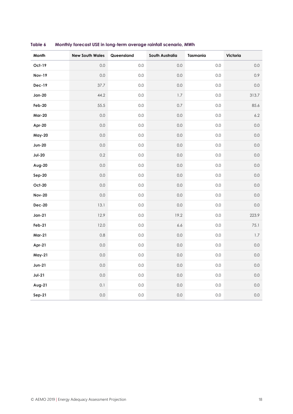| Month         | <b>New South Wales</b> | Queensland | South Australia | Tasmania | Victoria |
|---------------|------------------------|------------|-----------------|----------|----------|
| Oct-19        | 0.0                    | 0.0        | 0.0             | 0.0      | $0.0\,$  |
| <b>Nov-19</b> | 0.0                    | 0.0        | 0.0             | 0.0      | 0.9      |
| <b>Dec-19</b> | 37.7                   | $0.0\,$    | 0.0             | $0.0\,$  | $0.0\,$  |
| $Jan-20$      | 44.2                   | 0.0        | $1.7\,$         | 0.0      | 313.7    |
| Feb-20        | 55.5                   | $0.0\,$    | $0.7\,$         | $0.0\,$  | 85.6     |
| <b>Mar-20</b> | $0.0\,$                | $0.0\,$    | 0.0             | $0.0\,$  | $6.2\,$  |
| Apr-20        | $0.0\,$                | 0.0        | 0.0             | 0.0      | $0.0\,$  |
| <b>May-20</b> | $0.0\,$                | $0.0\,$    | 0.0             | 0.0      | $0.0\,$  |
| <b>Jun-20</b> | $0.0\,$                | $0.0\,$    | $0.0\,$         | $0.0\,$  | $0.0\,$  |
| $Jul-20$      | $0.2\,$                | 0.0        | $0.0\,$         | 0.0      | $0.0\,$  |
| Aug-20        | $0.0\,$                | $0.0\,$    | 0.0             | $0.0\,$  | $0.0\,$  |
| Sep-20        | $0.0\,$                | $0.0\,$    | 0.0             | $0.0\,$  | $0.0\,$  |
| <b>Oct-20</b> | $0.0\,$                | $0.0\,$    | $0.0\,$         | $0.0\,$  | $0.0\,$  |
| <b>Nov-20</b> | $0.0\,$                | $0.0\,$    | $0.0\,$         | $0.0\,$  | $0.0\,$  |
| <b>Dec-20</b> | 13.1                   | $0.0\,$    | $0.0\,$         | $0.0\,$  | $0.0\,$  |
| $Jan-21$      | 12.9                   | $0.0\,$    | 19.2            | $0.0\,$  | 223.9    |
| Feb-21        | 12.0                   | 0.0        | 6.6             | $0.0\,$  | 75.1     |
| <b>Mar-21</b> | $0.8\,$                | $0.0\,$    | $0.0\,$         | $0.0\,$  | $1.7$    |
| Apr-21        | $0.0\,$                | $0.0\,$    | $0.0\,$         | $0.0\,$  | $0.0\,$  |
| <b>May-21</b> | $0.0\,$                | $0.0\,$    | $0.0\,$         | $0.0\,$  | $0.0\,$  |
| $Jun-21$      | $0.0\,$                | $0.0\,$    | 0.0             | $0.0\,$  | $0.0\,$  |
| $Jul-21$      | $0.0\,$                | $0.0\,$    | $0.0\,$         | $0.0\,$  | $0.0\,$  |
| Aug-21        | $0.1\,$                | $0.0\,$    | $0.0\,$         | 0.0      | $0.0\,$  |
| $Sep-21$      | $0.0\,$                | $0.0\,$    | 0.0             | 0.0      | $0.0\,$  |

<span id="page-17-0"></span>**Table 6 Monthly forecast USE in long-term average rainfall scenario, MWh**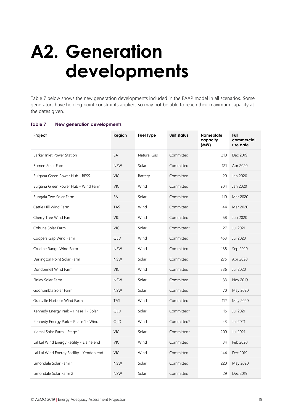# <span id="page-18-0"></span>**A2. Generation developments**

Table 7 below shows the new generation developments included in the EAAP model in all scenarios. Some generators have holding point constraints applied, so may not be able to reach their maximum capacity at the dates given.

| Project                                   | Region     | <b>Fuel Type</b> | <b>Unit status</b> | Nameplate<br>capacity<br>(MW) | Full<br>commercial<br>use date |
|-------------------------------------------|------------|------------------|--------------------|-------------------------------|--------------------------------|
| Barker Inlet Power Station                | <b>SA</b>  | Natural Gas      | Committed          | 210                           | Dec 2019                       |
| Bomen Solar Farm                          | <b>NSW</b> | Solar            | Committed          | 121                           | Apr 2020                       |
| Bulgana Green Power Hub - BESS            | <b>VIC</b> | Battery          | Committed          | 20                            | Jan 2020                       |
| Bulgana Green Power Hub - Wind Farm       | <b>VIC</b> | Wind             | Committed          | 204                           | Jan 2020                       |
| Bungala Two Solar Farm                    | SA         | Solar            | Committed          | 110                           | Mar 2020                       |
| Cattle Hill Wind Farm                     | <b>TAS</b> | Wind             | Committed          | 144                           | Mar 2020                       |
| Cherry Tree Wind Farm                     | <b>VIC</b> | Wind             | Committed          | 58                            | Jun 2020                       |
| Cohuna Solar Farm                         | <b>VIC</b> | Solar            | Committed*         | 27                            | Jul 2021                       |
| Coopers Gap Wind Farm                     | <b>QLD</b> | Wind             | Committed          | 453                           | Jul 2020                       |
| Crudine Range Wind Farm                   | <b>NSW</b> | Wind             | Committed          | 138                           | Sep 2020                       |
| Darlington Point Solar Farm               | <b>NSW</b> | Solar            | Committed          | 275                           | Apr 2020                       |
| Dundonnell Wind Farm                      | <b>VIC</b> | Wind             | Committed          | 336                           | Jul 2020                       |
| Finley Solar Farm                         | <b>NSW</b> | Solar            | Committed          | 133                           | Nov 2019                       |
| Goonumbla Solar Farm                      | <b>NSW</b> | Solar            | Committed          | 70                            | May 2020                       |
| Granville Harbour Wind Farm               | <b>TAS</b> | Wind             | Committed          | 112                           | May 2020                       |
| Kennedy Energy Park - Phase 1 - Solar     | <b>QLD</b> | Solar            | Committed*         | 15                            | Jul 2021                       |
| Kennedy Energy Park - Phase 1 - Wind      | <b>QLD</b> | Wind             | Committed*         | 43                            | Jul 2021                       |
| Kiamal Solar Farm - Stage 1               | <b>VIC</b> | Solar            | Committed*         | 200                           | Jul 2021                       |
| Lal Lal Wind Energy Facility - Elaine end | <b>VIC</b> | Wind             | Committed          | 84                            | Feb 2020                       |
| Lal Lal Wind Energy Facility - Yendon end | <b>VIC</b> | Wind             | Committed          | 144                           | Dec 2019                       |
| Limondale Solar Farm 1                    | <b>NSW</b> | Solar            | Committed          | 220                           | May 2020                       |
| Limondale Solar Farm 2                    | <b>NSW</b> | Solar            | Committed          | 29                            | Dec 2019                       |

#### <span id="page-18-1"></span>**Table 7 New generation developments**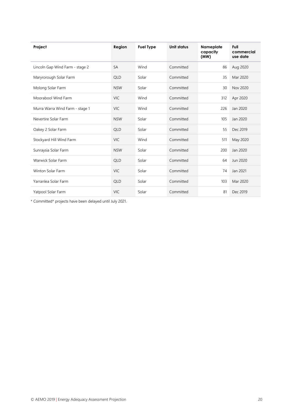| Project                         | Region     | <b>Fuel Type</b> | Unit status | Nameplate<br>capacity<br>(MW) | Full<br>commercial<br>use date |
|---------------------------------|------------|------------------|-------------|-------------------------------|--------------------------------|
| Lincoln Gap Wind Farm - stage 2 | <b>SA</b>  | Wind             | Committed   | 86                            | Aug 2020                       |
| Maryrorough Solar Farm          | <b>QLD</b> | Solar            | Committed   | 35                            | Mar 2020                       |
| Molong Solar Farm               | <b>NSW</b> | Solar            | Committed   | 30                            | Nov 2020                       |
| Moorabool Wind Farm             | <b>VIC</b> | Wind             | Committed   | 312                           | Apr 2020                       |
| Murra Warra Wind Farm - stage 1 | <b>VIC</b> | Wind             | Committed   | 226                           | Jan 2020                       |
| Nevertire Solar Farm            | <b>NSW</b> | Solar            | Committed   | 105                           | Jan 2020                       |
| Oakey 2 Solar Farm              | <b>QLD</b> | Solar            | Committed   | 55                            | Dec 2019                       |
| Stockyard Hill Wind Farm        | <b>VIC</b> | Wind             | Committed   | 511                           | May 2020                       |
| Sunraysia Solar Farm            | <b>NSW</b> | Solar            | Committed   | 200                           | Jan 2020                       |
| Warwick Solar Farm              | <b>QLD</b> | Solar            | Committed   | 64                            | Jun 2020                       |
| Winton Solar Farm               | <b>VIC</b> | Solar            | Committed   | 74                            | Jan 2021                       |
| Yarranlea Solar Farm            | <b>QLD</b> | Solar            | Committed   | 103                           | Mar 2020                       |
| Yatpool Solar Farm              | <b>VIC</b> | Solar            | Committed   | 81                            | Dec 2019                       |

\* Committed\* projects have been delayed until July 2021.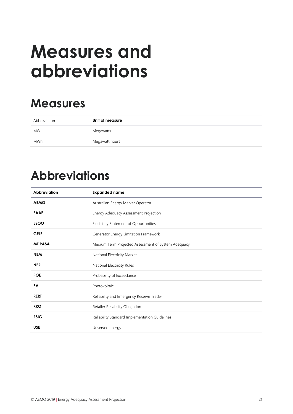# <span id="page-20-0"></span>**Measures and abbreviations**

# **Measures**

| Abbreviation | Unit of measure |
|--------------|-----------------|
| <b>MW</b>    | Megawatts       |
| <b>MWh</b>   | Megawatt hours  |

## **Abbreviations**

| Abbreviation<br><b>Expanded name</b>                                  |  |
|-----------------------------------------------------------------------|--|
| <b>AEMO</b><br>Australian Energy Market Operator                      |  |
| <b>EAAP</b><br>Energy Adequacy Assessment Projection                  |  |
| <b>ESOO</b><br>Electricity Statement of Opportunities                 |  |
| <b>GELF</b><br>Generator Energy Limitation Framework                  |  |
| <b>MT PASA</b><br>Medium Term Projected Assessment of System Adequacy |  |
| <b>NEM</b><br>National Electricity Market                             |  |
| <b>NER</b><br>National Electricity Rules                              |  |
| <b>POE</b><br>Probability of Exceedance                               |  |
| PV<br>Photovoltaic                                                    |  |
| <b>RERT</b><br>Reliability and Emergency Reserve Trader               |  |
| <b>RRO</b><br>Retailer Reliability Obligation                         |  |
| <b>RSIG</b><br>Reliability Standard Implementation Guidelines         |  |
| <b>USE</b><br>Unserved energy                                         |  |